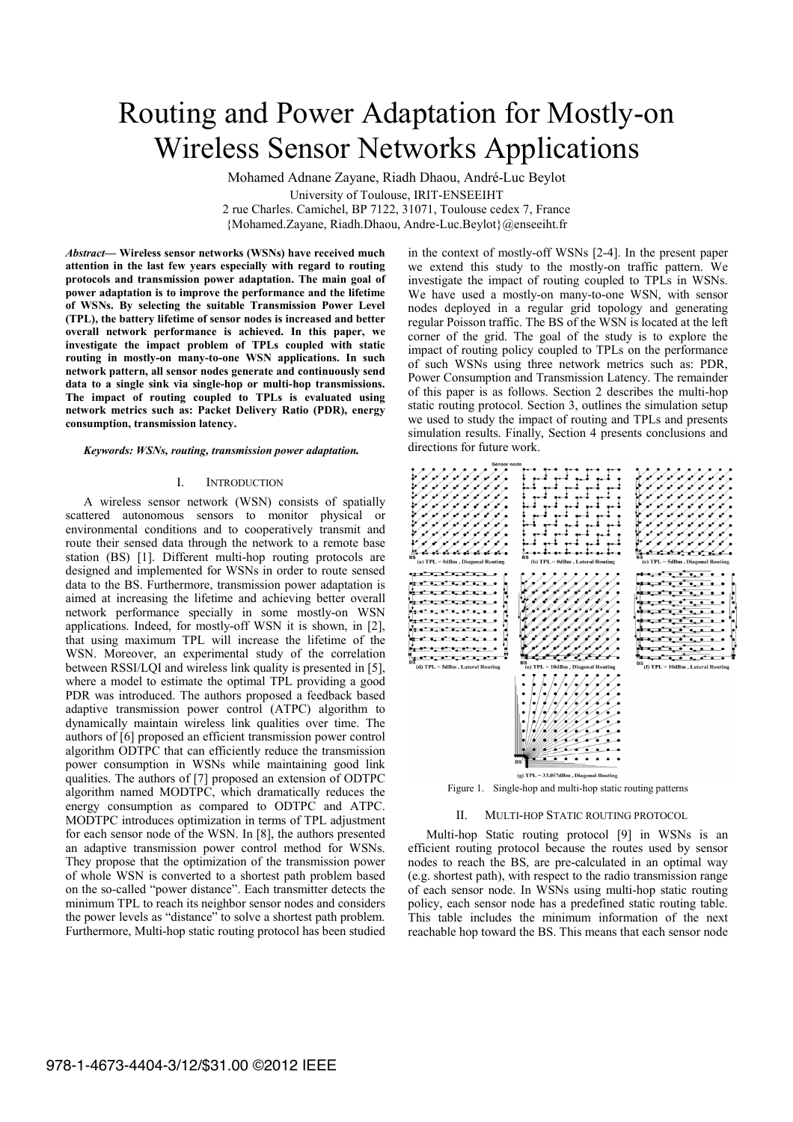# Routing and Power Adaptation for Mostly-on Wireless Sensor Networks Applications

Mohamed Adnane Zayane, Riadh Dhaou, André-Luc Beylot University of Toulouse, IRIT-ENSEEIHT 2 rue Charles. Camichel, BP 7122, 31071, Toulouse cedex 7, France {Mohamed.Zayane, Riadh.Dhaou, Andre-Luc.Beylot}@enseeiht.fr

*Abstract***! Wireless sensor networks (WSNs) have received much attention in the last few years especially with regard to routing protocols and transmission power adaptation. The main goal of power adaptation is to improve the performance and the lifetime of WSNs. By selecting the suitable Transmission Power Level (TPL), the battery lifetime of sensor nodes is increased and better overall network performance is achieved. In this paper, we investigate the impact problem of TPLs coupled with static routing in mostly-on many-to-one WSN applications. In such network pattern, all sensor nodes generate and continuously send data to a single sink via single-hop or multi-hop transmissions. The impact of routing coupled to TPLs is evaluated using network metrics such as: Packet Delivery Ratio (PDR), energy consumption, transmission latency.** 

#### *Keywords: WSNs, routing, transmission power adaptation.*

## I. INTRODUCTION

A wireless sensor network (WSN) consists of spatially scattered autonomous sensors to monitor physical or environmental conditions and to cooperatively transmit and route their sensed data through the network to a remote base station (BS) [1]. Different multi-hop routing protocols are designed and implemented for WSNs in order to route sensed data to the BS. Furthermore, transmission power adaptation is aimed at increasing the lifetime and achieving better overall network performance specially in some mostly-on WSN applications. Indeed, for mostly-off WSN it is shown, in [2], that using maximum TPL will increase the lifetime of the WSN. Moreover, an experimental study of the correlation between RSSI/LQI and wireless link quality is presented in [5], where a model to estimate the optimal TPL providing a good PDR was introduced. The authors proposed a feedback based adaptive transmission power control (ATPC) algorithm to dynamically maintain wireless link qualities over time. The authors of [6] proposed an efficient transmission power control algorithm ODTPC that can efficiently reduce the transmission power consumption in WSNs while maintaining good link qualities. The authors of [7] proposed an extension of ODTPC algorithm named MODTPC, which dramatically reduces the energy consumption as compared to ODTPC and ATPC. MODTPC introduces optimization in terms of TPL adjustment for each sensor node of the WSN. In [8], the authors presented an adaptive transmission power control method for WSNs. They propose that the optimization of the transmission power of whole WSN is converted to a shortest path problem based on the so-called "power distance". Each transmitter detects the minimum TPL to reach its neighbor sensor nodes and considers the power levels as "distance" to solve a shortest path problem. Furthermore, Multi-hop static routing protocol has been studied in the context of mostly-off WSNs [2-4]. In the present paper we extend this study to the mostly-on traffic pattern. We investigate the impact of routing coupled to TPLs in WSNs. We have used a mostly-on many-to-one WSN, with sensor nodes deployed in a regular grid topology and generating regular Poisson traffic. The BS of the WSN is located at the left corner of the grid. The goal of the study is to explore the impact of routing policy coupled to TPLs on the performance of such WSNs using three network metrics such as: PDR, Power Consumption and Transmission Latency. The remainder of this paper is as follows. Section 2 describes the multi-hop static routing protocol. Section 3, outlines the simulation setup we used to study the impact of routing and TPLs and presents simulation results. Finally, Section 4 presents conclusions and directions for future work.



## II. MULTI-HOP STATIC ROUTING PROTOCOL

Multi-hop Static routing protocol [9] in WSNs is an efficient routing protocol because the routes used by sensor nodes to reach the BS, are pre-calculated in an optimal way (e.g. shortest path), with respect to the radio transmission range of each sensor node. In WSNs using multi-hop static routing policy, each sensor node has a predefined static routing table. This table includes the minimum information of the next reachable hop toward the BS. This means that each sensor node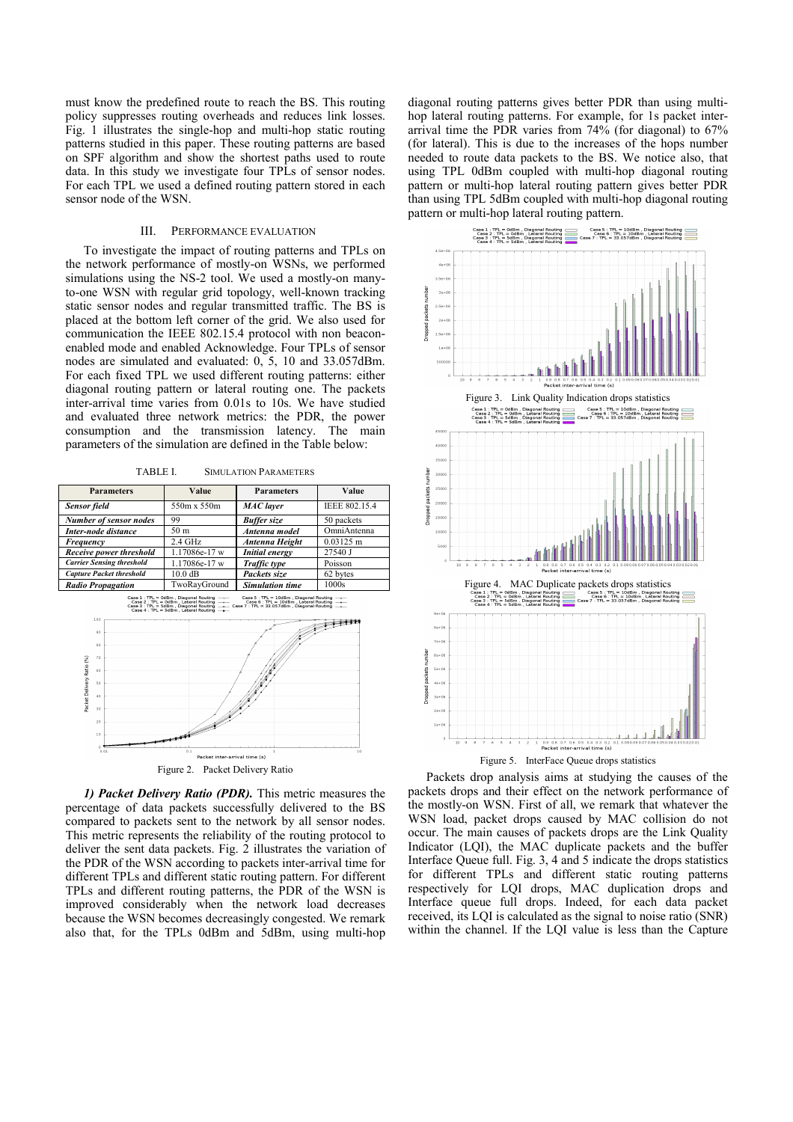must know the predefined route to reach the BS. This routing policy suppresses routing overheads and reduces link losses. Fig. 1 illustrates the single-hop and multi-hop static routing patterns studied in this paper. These routing patterns are based on SPF algorithm and show the shortest paths used to route data. In this study we investigate four TPLs of sensor nodes. For each TPL we used a defined routing pattern stored in each sensor node of the WSN.

## III. PERFORMANCE EVALUATION

To investigate the impact of routing patterns and TPLs on the network performance of mostly-on WSNs, we performed simulations using the NS-2 tool. We used a mostly-on manyto-one WSN with regular grid topology, well-known tracking static sensor nodes and regular transmitted traffic. The BS is placed at the bottom left corner of the grid. We also used for communication the IEEE 802.15.4 protocol with non beaconenabled mode and enabled Acknowledge. Four TPLs of sensor nodes are simulated and evaluated: 0, 5, 10 and 33.057dBm. For each fixed TPL we used different routing patterns: either diagonal routing pattern or lateral routing one. The packets inter-arrival time varies from 0.01s to 10s. We have studied and evaluated three network metrics: the PDR, the power consumption and the transmission latency. The main parameters of the simulation are defined in the Table below:

TABLE I. SIMULATION PARAMETERS

| <b>Parameters</b>                | Value             | <b>Parameters</b>      | Value         |
|----------------------------------|-------------------|------------------------|---------------|
| <b>Sensor</b> field              | 550m x 550m       | <b>MAC</b> layer       | IEEE 802.15.4 |
| Number of sensor nodes           | 99                | <b>Buffer</b> size     | 50 packets    |
| Inter-node distance              | 50 m              | Antenna model          | OmniAntenna   |
| Frequency                        | $2.4$ GHz         | Antenna Height         | $0.03125$ m   |
| Receive power threshold          | 1.17086e-17 w     | <b>Initial energy</b>  | 27540 J       |
| <b>Carrier Sensing threshold</b> | 1.17086e-17 w     | Traffic type           | Poisson       |
| <b>Capture Packet threshold</b>  | $10.0 \text{ dB}$ | Packets size           | 62 bytes      |
| <b>Radio Propagation</b>         | TwoRayGround      | <b>Simulation time</b> | 1000s         |



*1) Packet Delivery Ratio (PDR).* This metric measures the percentage of data packets successfully delivered to the BS compared to packets sent to the network by all sensor nodes. This metric represents the reliability of the routing protocol to deliver the sent data packets. Fig. 2 illustrates the variation of the PDR of the WSN according to packets inter-arrival time for different TPLs and different static routing pattern. For different TPLs and different routing patterns, the PDR of the WSN is improved considerably when the network load decreases because the WSN becomes decreasingly congested. We remark also that, for the TPLs 0dBm and 5dBm, using multi-hop diagonal routing patterns gives better PDR than using multihop lateral routing patterns. For example, for 1s packet interarrival time the PDR varies from 74% (for diagonal) to 67% (for lateral). This is due to the increases of the hops number needed to route data packets to the BS. We notice also, that using TPL 0dBm coupled with multi-hop diagonal routing pattern or multi-hop lateral routing pattern gives better PDR than using TPL 5dBm coupled with multi-hop diagonal routing pattern or multi-hop lateral routing pattern.



Figure 5. InterFace Queue drops statistics

Packets drop analysis aims at studying the causes of the packets drops and their effect on the network performance of the mostly-on WSN. First of all, we remark that whatever the WSN load, packet drops caused by MAC collision do not occur. The main causes of packets drops are the Link Quality Indicator (LQI), the MAC duplicate packets and the buffer Interface Queue full. Fig. 3, 4 and 5 indicate the drops statistics for different TPLs and different static routing patterns respectively for LQI drops, MAC duplication drops and Interface queue full drops. Indeed, for each data packet received, its LQI is calculated as the signal to noise ratio (SNR) within the channel. If the LQI value is less than the Capture